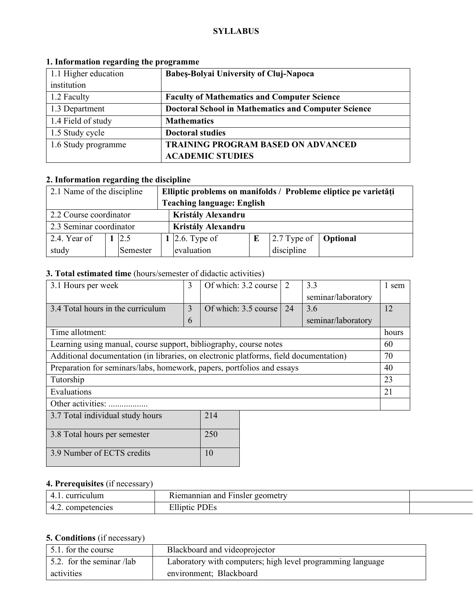#### **SYLLABUS**

| 1.1 Higher education | Babeș-Bolyai University of Cluj-Napoca                     |  |  |
|----------------------|------------------------------------------------------------|--|--|
| institution          |                                                            |  |  |
| 1.2 Faculty          | <b>Faculty of Mathematics and Computer Science</b>         |  |  |
| 1.3 Department       | <b>Doctoral School in Mathematics and Computer Science</b> |  |  |
| 1.4 Field of study   | <b>Mathematics</b>                                         |  |  |
| 1.5 Study cycle      | <b>Doctoral studies</b>                                    |  |  |
| 1.6 Study programme  | <b>TRAINING PROGRAM BASED ON ADVANCED</b>                  |  |  |
|                      | <b>ACADEMIC STUDIES</b>                                    |  |  |

### **1. Information regarding the programme**

## **2. Information regarding the discipline**

| 2.1 Name of the discipline |          | Elliptic problems on manifolds / Probleme eliptice pe varietăți |                    |  |                                             |  |
|----------------------------|----------|-----------------------------------------------------------------|--------------------|--|---------------------------------------------|--|
|                            |          | <b>Teaching language: English</b>                               |                    |  |                                             |  |
| 2.2 Course coordinator     |          |                                                                 | Kristály Alexandru |  |                                             |  |
| 2.3 Seminar coordinator    |          |                                                                 | Kristály Alexandru |  |                                             |  |
| 2.4. Year of               | 2.5      |                                                                 | 1 2.6. Type of     |  | $\vert$ 2.7 Type of $\vert$ <b>Optional</b> |  |
| study                      | Semester |                                                                 | evaluation         |  | discipline                                  |  |

#### **3. Total estimated time** (hours/semester of didactic activities)

| 3.1 Hours per week                                                                    | 3 | Of which: 3.2 course | 2  | 3.3                | 1 sem |
|---------------------------------------------------------------------------------------|---|----------------------|----|--------------------|-------|
|                                                                                       |   |                      |    | seminar/laboratory |       |
| 3.4 Total hours in the curriculum                                                     | 3 | Of which: 3.5 course | 24 | 3.6                | 12    |
|                                                                                       | 6 |                      |    | seminar/laboratory |       |
| Time allotment:                                                                       |   |                      |    |                    | hours |
| Learning using manual, course support, bibliography, course notes                     |   |                      |    |                    | 60    |
| Additional documentation (in libraries, on electronic platforms, field documentation) |   |                      |    |                    |       |
| Preparation for seminars/labs, homework, papers, portfolios and essays                |   |                      |    |                    |       |
| Tutorship                                                                             |   |                      |    |                    |       |
| Evaluations                                                                           |   |                      |    |                    |       |
| Other activities:                                                                     |   |                      |    |                    |       |
| 214<br>3.7 Total individual study hours                                               |   |                      |    |                    |       |
| 250<br>3.8 Total hours per semester                                                   |   |                      |    |                    |       |

| 3.8 Total hours per semester | <b>250</b> |
|------------------------------|------------|
| 3.9 Number of ECTS credits   | $\Box$ 0   |

## **4. Prerequisites** (if necessary)

| lum                            | $\sim$<br>$\overline{\phantom{a}}$<br>geometry<br>า1ลท<br>and<br><b>Finsler</b> |  |
|--------------------------------|---------------------------------------------------------------------------------|--|
| competencies<br>$\cdot$ $\sim$ | <b>111</b><br>$\nu$ <sub>ES</sub><br>E HIDITIC<br>יש                            |  |

### **5. Conditions** (if necessary)

| $\vert$ 5.1. for the course       | Blackboard and videoprojector                              |
|-----------------------------------|------------------------------------------------------------|
| $\vert$ 5.2. for the seminar /lab | Laboratory with computers; high level programming language |
| activities                        | environment; Blackboard                                    |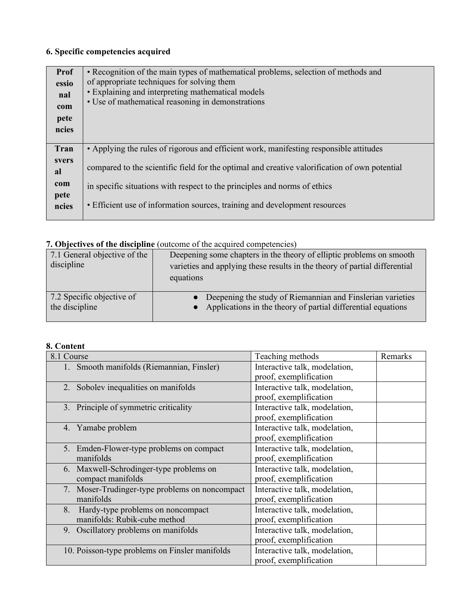## **6. Specific competencies acquired**

| • Recognition of the main types of mathematical problems, selection of methods and            |
|-----------------------------------------------------------------------------------------------|
| of appropriate techniques for solving them                                                    |
| • Explaining and interpreting mathematical models                                             |
| • Use of mathematical reasoning in demonstrations                                             |
|                                                                                               |
|                                                                                               |
|                                                                                               |
|                                                                                               |
| • Applying the rules of rigorous and efficient work, manifesting responsible attitudes        |
|                                                                                               |
| compared to the scientific field for the optimal and creative valorification of own potential |
|                                                                                               |
| in specific situations with respect to the principles and norms of ethics                     |
|                                                                                               |
| • Efficient use of information sources, training and development resources                    |
|                                                                                               |
|                                                                                               |

## **7. Objectives of the discipline** (outcome of the acquired competencies)

| 7.1 General objective of the<br>discipline  | Deepening some chapters in the theory of elliptic problems on smooth<br>varieties and applying these results in the theory of partial differential<br>equations |
|---------------------------------------------|-----------------------------------------------------------------------------------------------------------------------------------------------------------------|
| 7.2 Specific objective of<br>the discipline | • Deepening the study of Riemannian and Finslerian varieties<br>• Applications in the theory of partial differential equations                                  |

# **8. Content**

| 8.1 Course                                     | Teaching methods              | Remarks |
|------------------------------------------------|-------------------------------|---------|
| 1. Smooth manifolds (Riemannian, Finsler)      | Interactive talk, modelation, |         |
|                                                | proof, exemplification        |         |
| 2. Sobolev inequalities on manifolds           | Interactive talk, modelation, |         |
|                                                | proof, exemplification        |         |
| 3. Principle of symmetric criticality          | Interactive talk, modelation, |         |
|                                                | proof, exemplification        |         |
| 4. Yamabe problem                              | Interactive talk, modelation, |         |
|                                                | proof, exemplification        |         |
| 5. Emden-Flower-type problems on compact       | Interactive talk, modelation, |         |
| manifolds                                      | proof, exemplification        |         |
| 6. Maxwell-Schrodinger-type problems on        | Interactive talk, modelation, |         |
| compact manifolds                              | proof, exemplification        |         |
| 7. Moser-Trudinger-type problems on noncompact | Interactive talk, modelation, |         |
| manifolds                                      | proof, exemplification        |         |
| Hardy-type problems on noncompact<br>8.        | Interactive talk, modelation, |         |
| manifolds: Rubik-cube method                   | proof, exemplification        |         |
| 9. Oscillatory problems on manifolds           | Interactive talk, modelation, |         |
|                                                | proof, exemplification        |         |
| 10. Poisson-type problems on Finsler manifolds | Interactive talk, modelation, |         |
|                                                | proof, exemplification        |         |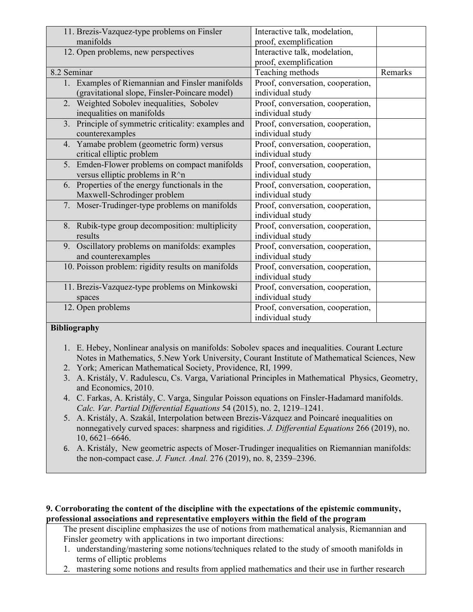| 11. Brezis-Vazquez-type problems on Finsler                       | Interactive talk, modelation,     |         |
|-------------------------------------------------------------------|-----------------------------------|---------|
| manifolds                                                         | proof, exemplification            |         |
| 12. Open problems, new perspectives                               | Interactive talk, modelation,     |         |
|                                                                   | proof, exemplification            |         |
| 8.2 Seminar                                                       | Teaching methods                  | Remarks |
| 1. Examples of Riemannian and Finsler manifolds                   | Proof, conversation, cooperation, |         |
| (gravitational slope, Finsler-Poincare model)                     | individual study                  |         |
| 2. Weighted Sobolev inequalities, Sobolev                         | Proof, conversation, cooperation, |         |
| inequalities on manifolds                                         | individual study                  |         |
| Principle of symmetric criticality: examples and<br>$\mathcal{E}$ | Proof, conversation, cooperation, |         |
| counterexamples                                                   | individual study                  |         |
| 4. Yamabe problem (geometric form) versus                         | Proof, conversation, cooperation, |         |
| critical elliptic problem                                         | individual study                  |         |
| 5. Emden-Flower problems on compact manifolds                     | Proof, conversation, cooperation, |         |
| versus elliptic problems in $R^n$ n                               | individual study                  |         |
| 6. Properties of the energy functionals in the                    | Proof, conversation, cooperation, |         |
| Maxwell-Schrodinger problem                                       | individual study                  |         |
| 7. Moser-Trudinger-type problems on manifolds                     | Proof, conversation, cooperation, |         |
|                                                                   | individual study                  |         |
| 8. Rubik-type group decomposition: multiplicity                   | Proof, conversation, cooperation, |         |
| results                                                           | individual study                  |         |
| 9. Oscillatory problems on manifolds: examples                    | Proof, conversation, cooperation, |         |
| and counterexamples                                               | individual study                  |         |
| 10. Poisson problem: rigidity results on manifolds                | Proof, conversation, cooperation, |         |
|                                                                   | individual study                  |         |
| 11. Brezis-Vazquez-type problems on Minkowski                     | Proof, conversation, cooperation, |         |
| spaces                                                            | individual study                  |         |
| 12. Open problems                                                 | Proof, conversation, cooperation, |         |
|                                                                   | individual study                  |         |

#### **Bibliography**

- 1. E. Hebey, Nonlinear analysis on manifolds: Sobolev spaces and inequalities. Courant Lecture Notes in Mathematics, 5.New York University, Courant Institute of Mathematical Sciences, New
- 2. York; American Mathematical Society, Providence, RI, 1999.
- 3. A. Kristály, V. Radulescu, Cs. Varga, Variational Principles in Mathematical Physics, Geometry, and Economics, 2010.
- 4. C. Farkas, A. Kristály, C. Varga, Singular Poisson equations on Finsler-Hadamard manifolds. *Calc. Var. Partial Differential Equations* 54 (2015), no. 2, 1219–1241.
- 5. A. Kristály, A. Szakál, Interpolation between Brezis-Vázquez and Poincaré inequalities on nonnegatively curved spaces: sharpness and rigidities. *J. Differential Equations* 266 (2019), no. 10, 6621–6646.
- 6. A. Kristály, New geometric aspects of Moser-Trudinger inequalities on Riemannian manifolds: the non-compact case. *J. Funct. Anal.* 276 (2019), no. 8, 2359–2396.

#### **9. Corroborating the content of the discipline with the expectations of the epistemic community, professional associations and representative employers within the field of the program**

The present discipline emphasizes the use of notions from mathematical analysis, Riemannian and Finsler geometry with applications in two important directions:

- 1. understanding/mastering some notions/techniques related to the study of smooth manifolds in terms of elliptic problems
- 2. mastering some notions and results from applied mathematics and their use in further research